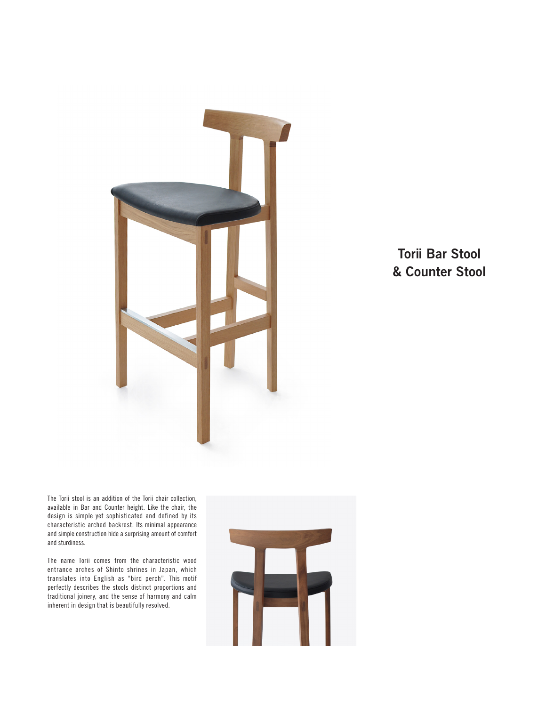

## **Torii Bar Stool & Counter Stool**

The Torii stool is an addition of the Torii chair collection, available in Bar and Counter height. Like the chair, the design is simple yet sophisticated and defined by its characteristic arched backrest. Its minimal appearance and simple construction hide a surprising amount of comfort and sturdiness.

The name Torii comes from the characteristic wood entrance arches of Shinto shrines in Japan, which translates into English as "bird perch". This motif perfectly describes the stools distinct proportions and traditional joinery, and the sense of harmony and calm inherent in design that is beautifully resolved.